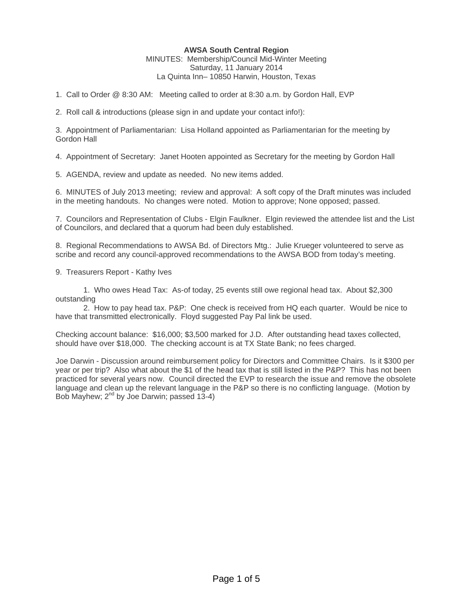## **AWSA South Central Region**

MINUTES: Membership/Council Mid-Winter Meeting Saturday, 11 January 2014 La Quinta Inn– 10850 Harwin, Houston, Texas

1. Call to Order @ 8:30 AM: Meeting called to order at 8:30 a.m. by Gordon Hall, EVP

2. Roll call & introductions (please sign in and update your contact info!):

3. Appointment of Parliamentarian: Lisa Holland appointed as Parliamentarian for the meeting by Gordon Hall

4. Appointment of Secretary: Janet Hooten appointed as Secretary for the meeting by Gordon Hall

5. AGENDA, review and update as needed. No new items added.

6. MINUTES of July 2013 meeting; review and approval: A soft copy of the Draft minutes was included in the meeting handouts. No changes were noted. Motion to approve; None opposed; passed.

7. Councilors and Representation of Clubs - Elgin Faulkner. Elgin reviewed the attendee list and the List of Councilors, and declared that a quorum had been duly established.

8. Regional Recommendations to AWSA Bd. of Directors Mtg.: Julie Krueger volunteered to serve as scribe and record any council-approved recommendations to the AWSA BOD from today's meeting.

9. Treasurers Report - Kathy Ives

 1. Who owes Head Tax: As-of today, 25 events still owe regional head tax. About \$2,300 outstanding

 2. How to pay head tax. P&P: One check is received from HQ each quarter. Would be nice to have that transmitted electronically. Floyd suggested Pay Pal link be used.

Checking account balance: \$16,000; \$3,500 marked for J.D. After outstanding head taxes collected, should have over \$18,000. The checking account is at TX State Bank; no fees charged.

Joe Darwin - Discussion around reimbursement policy for Directors and Committee Chairs. Is it \$300 per year or per trip? Also what about the \$1 of the head tax that is still listed in the P&P? This has not been practiced for several years now. Council directed the EVP to research the issue and remove the obsolete language and clean up the relevant language in the P&P so there is no conflicting language. (Motion by Bob Mayhew;  $2^{nd}$  by Joe Darwin; passed 13-4)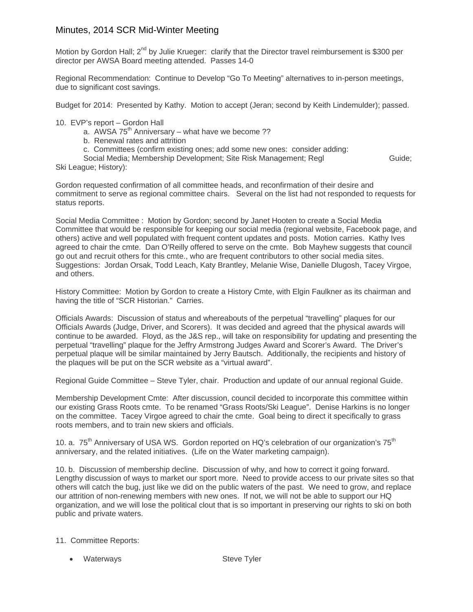## Minutes, 2014 SCR Mid-Winter Meeting

Motion by Gordon Hall; 2<sup>nd</sup> by Julie Krueger: clarify that the Director travel reimbursement is \$300 per director per AWSA Board meeting attended. Passes 14-0

Regional Recommendation: Continue to Develop "Go To Meeting" alternatives to in-person meetings, due to significant cost savings.

Budget for 2014: Presented by Kathy. Motion to accept (Jeran; second by Keith Lindemulder); passed.

## 10. EVP's report – Gordon Hall

- a. AWSA  $75<sup>th</sup>$  Anniversary what have we become ??
- b. Renewal rates and attrition
- c. Committees (confirm existing ones; add some new ones: consider adding:

Social Media; Membership Development; Site Risk Management; Regl Guide; Ski League; History):

Gordon requested confirmation of all committee heads, and reconfirmation of their desire and commitment to serve as regional committee chairs. Several on the list had not responded to requests for status reports.

Social Media Committee : Motion by Gordon; second by Janet Hooten to create a Social Media Committee that would be responsible for keeping our social media (regional website, Facebook page, and others) active and well populated with frequent content updates and posts. Motion carries. Kathy Ives agreed to chair the cmte. Dan O'Reilly offered to serve on the cmte. Bob Mayhew suggests that council go out and recruit others for this cmte., who are frequent contributors to other social media sites. Suggestions: Jordan Orsak, Todd Leach, Katy Brantley, Melanie Wise, Danielle Dlugosh, Tacey Virgoe, and others.

History Committee: Motion by Gordon to create a History Cmte, with Elgin Faulkner as its chairman and having the title of "SCR Historian." Carries.

Officials Awards: Discussion of status and whereabouts of the perpetual "travelling" plaques for our Officials Awards (Judge, Driver, and Scorers). It was decided and agreed that the physical awards will continue to be awarded. Floyd, as the J&S rep., will take on responsibility for updating and presenting the perpetual "travelling" plaque for the Jeffry Armstrong Judges Award and Scorer's Award. The Driver's perpetual plaque will be similar maintained by Jerry Bautsch. Additionally, the recipients and history of the plaques will be put on the SCR website as a "virtual award".

Regional Guide Committee – Steve Tyler, chair. Production and update of our annual regional Guide.

Membership Development Cmte: After discussion, council decided to incorporate this committee within our existing Grass Roots cmte. To be renamed "Grass Roots/Ski League". Denise Harkins is no longer on the committee. Tacey Virgoe agreed to chair the cmte. Goal being to direct it specifically to grass roots members, and to train new skiers and officials.

10. a. 75<sup>th</sup> Anniversary of USA WS. Gordon reported on HQ's celebration of our organization's 75<sup>th</sup> anniversary, and the related initiatives. (Life on the Water marketing campaign).

10. b. Discussion of membership decline. Discussion of why, and how to correct it going forward. Lengthy discussion of ways to market our sport more. Need to provide access to our private sites so that others will catch the bug, just like we did on the public waters of the past. We need to grow, and replace our attrition of non-renewing members with new ones. If not, we will not be able to support our HQ organization, and we will lose the political clout that is so important in preserving our rights to ski on both public and private waters.

## 11. Committee Reports:

• Waterways Steve Tyler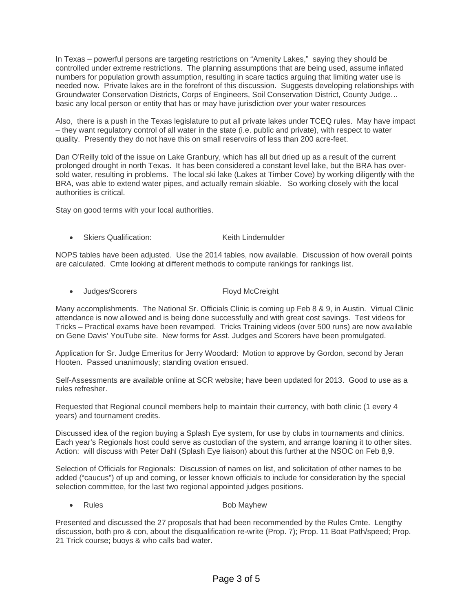In Texas – powerful persons are targeting restrictions on "Amenity Lakes," saying they should be controlled under extreme restrictions. The planning assumptions that are being used, assume inflated numbers for population growth assumption, resulting in scare tactics arguing that limiting water use is needed now. Private lakes are in the forefront of this discussion. Suggests developing relationships with Groundwater Conservation Districts, Corps of Engineers, Soil Conservation District, County Judge… basic any local person or entity that has or may have jurisdiction over your water resources

Also, there is a push in the Texas legislature to put all private lakes under TCEQ rules. May have impact – they want regulatory control of all water in the state (i.e. public and private), with respect to water quality. Presently they do not have this on small reservoirs of less than 200 acre-feet.

Dan O'Reilly told of the issue on Lake Granbury, which has all but dried up as a result of the current prolonged drought in north Texas. It has been considered a constant level lake, but the BRA has oversold water, resulting in problems. The local ski lake (Lakes at Timber Cove) by working diligently with the BRA, was able to extend water pipes, and actually remain skiable. So working closely with the local authorities is critical.

Stay on good terms with your local authorities.

**Skiers Qualification:** Keith Lindemulder

NOPS tables have been adjusted. Use the 2014 tables, now available. Discussion of how overall points are calculated. Cmte looking at different methods to compute rankings for rankings list.

• Judges/Scorers Floyd McCreight

Many accomplishments. The National Sr. Officials Clinic is coming up Feb 8 & 9, in Austin. Virtual Clinic attendance is now allowed and is being done successfully and with great cost savings. Test videos for Tricks – Practical exams have been revamped. Tricks Training videos (over 500 runs) are now available on Gene Davis' YouTube site. New forms for Asst. Judges and Scorers have been promulgated.

Application for Sr. Judge Emeritus for Jerry Woodard: Motion to approve by Gordon, second by Jeran Hooten. Passed unanimously; standing ovation ensued.

Self-Assessments are available online at SCR website; have been updated for 2013. Good to use as a rules refresher.

Requested that Regional council members help to maintain their currency, with both clinic (1 every 4 years) and tournament credits.

Discussed idea of the region buying a Splash Eye system, for use by clubs in tournaments and clinics. Each year's Regionals host could serve as custodian of the system, and arrange loaning it to other sites. Action: will discuss with Peter Dahl (Splash Eye liaison) about this further at the NSOC on Feb 8,9.

Selection of Officials for Regionals: Discussion of names on list, and solicitation of other names to be added ("caucus") of up and coming, or lesser known officials to include for consideration by the special selection committee, for the last two regional appointed judges positions.

**Participality Rules** Rules **Bob Mayhew** 

Presented and discussed the 27 proposals that had been recommended by the Rules Cmte. Lengthy discussion, both pro & con, about the disqualification re-write (Prop. 7); Prop. 11 Boat Path/speed; Prop. 21 Trick course; buoys & who calls bad water.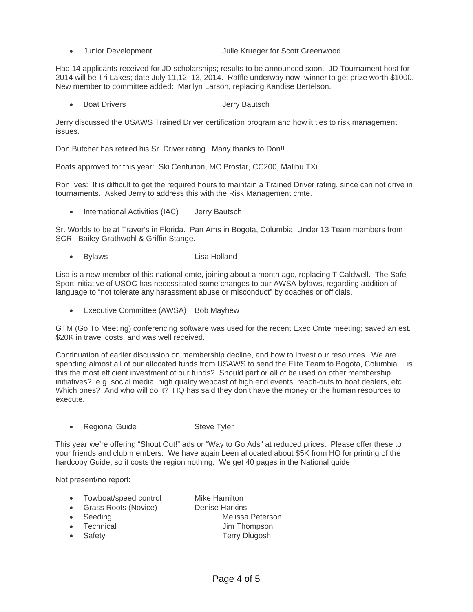- - Junior Development Julie Krueger for Scott Greenwood

Had 14 applicants received for JD scholarships; results to be announced soon. JD Tournament host for 2014 will be Tri Lakes; date July 11,12, 13, 2014. Raffle underway now; winner to get prize worth \$1000. New member to committee added: Marilyn Larson, replacing Kandise Bertelson.

**Poat Drivers Contract Contract Servers** Jerry Bautsch

Jerry discussed the USAWS Trained Driver certification program and how it ties to risk management issues.

Don Butcher has retired his Sr. Driver rating. Many thanks to Don!!

Boats approved for this year: Ski Centurion, MC Prostar, CC200, Malibu TXi

Ron Ives: It is difficult to get the required hours to maintain a Trained Driver rating, since can not drive in tournaments. Asked Jerry to address this with the Risk Management cmte.

International Activities (IAC) Jerry Bautsch

Sr. Worlds to be at Traver's in Florida. Pan Ams in Bogota, Columbia. Under 13 Team members from SCR: Bailey Grathwohl & Griffin Stange.

• Bylaws Lisa Holland

Lisa is a new member of this national cmte, joining about a month ago, replacing T Caldwell. The Safe Sport initiative of USOC has necessitated some changes to our AWSA bylaws, regarding addition of language to "not tolerate any harassment abuse or misconduct" by coaches or officials.

• Executive Committee (AWSA) Bob Mayhew

GTM (Go To Meeting) conferencing software was used for the recent Exec Cmte meeting; saved an est. \$20K in travel costs, and was well received.

Continuation of earlier discussion on membership decline, and how to invest our resources. We are spending almost all of our allocated funds from USAWS to send the Elite Team to Bogota, Columbia... is this the most efficient investment of our funds? Should part or all of be used on other membership initiatives? e.g. social media, high quality webcast of high end events, reach-outs to boat dealers, etc. Which ones? And who will do it? HQ has said they don't have the money or the human resources to execute.

**Regional Guide Steve Tyler** 

This year we're offering "Shout Out!" ads or "Way to Go Ads" at reduced prices. Please offer these to your friends and club members. We have again been allocated about \$5K from HQ for printing of the hardcopy Guide, so it costs the region nothing. We get 40 pages in the National guide.

Not present/no report:

- Towboat/speed control Mike Hamilton
	-
- Grass Roots (Novice) Denise Harkins **Seeding Contract Contract Seeding Contract Contract Contract Contract Contract Contract Contract Contract Contract Contract Contract Contract Contract Contract Contract Contract Contract Contract Contract Contract Contrac**
- - Fechnical **Figure 1** Um Thompson
- Safety **Safety Terry Dlugosh**